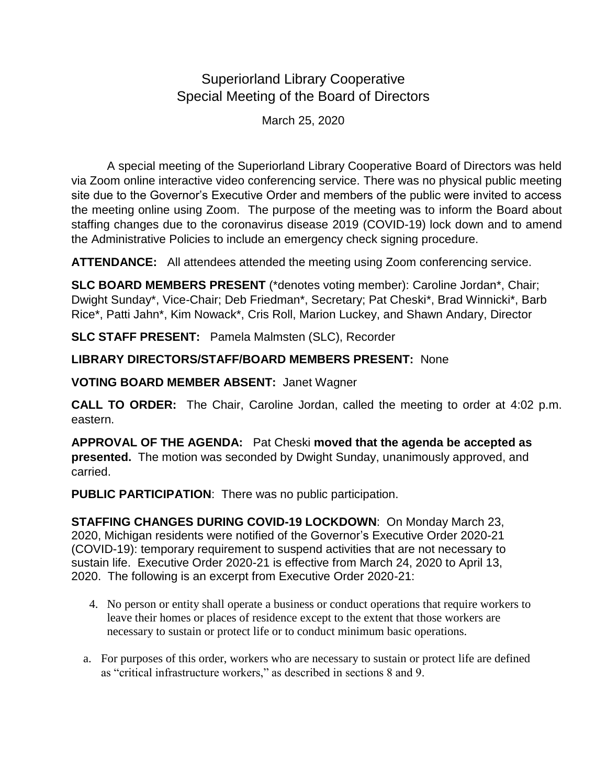## Superiorland Library Cooperative Special Meeting of the Board of Directors

March 25, 2020

A special meeting of the Superiorland Library Cooperative Board of Directors was held via Zoom online interactive video conferencing service. There was no physical public meeting site due to the Governor's Executive Order and members of the public were invited to access the meeting online using Zoom. The purpose of the meeting was to inform the Board about staffing changes due to the coronavirus disease 2019 (COVID-19) lock down and to amend the Administrative Policies to include an emergency check signing procedure.

**ATTENDANCE:** All attendees attended the meeting using Zoom conferencing service.

**SLC BOARD MEMBERS PRESENT** (\*denotes voting member): Caroline Jordan\*, Chair; Dwight Sunday\*, Vice-Chair; Deb Friedman\*, Secretary; Pat Cheski\*, Brad Winnicki\*, Barb Rice\*, Patti Jahn\*, Kim Nowack\*, Cris Roll, Marion Luckey, and Shawn Andary, Director

**SLC STAFF PRESENT:** Pamela Malmsten (SLC), Recorder

## **LIBRARY DIRECTORS/STAFF/BOARD MEMBERS PRESENT:** None

**VOTING BOARD MEMBER ABSENT:** Janet Wagner

**CALL TO ORDER:** The Chair, Caroline Jordan, called the meeting to order at 4:02 p.m. eastern.

**APPROVAL OF THE AGENDA:** Pat Cheski **moved that the agenda be accepted as presented.** The motion was seconded by Dwight Sunday, unanimously approved, and carried.

**PUBLIC PARTICIPATION**: There was no public participation.

**STAFFING CHANGES DURING COVID-19 LOCKDOWN**: On Monday March 23, 2020, Michigan residents were notified of the Governor's Executive Order 2020-21 (COVID-19): temporary requirement to suspend activities that are not necessary to sustain life. Executive Order 2020-21 is effective from March 24, 2020 to April 13, 2020. The following is an excerpt from Executive Order 2020-21:

- 4. No person or entity shall operate a business or conduct operations that require workers to leave their homes or places of residence except to the extent that those workers are necessary to sustain or protect life or to conduct minimum basic operations.
- a. For purposes of this order, workers who are necessary to sustain or protect life are defined as "critical infrastructure workers," as described in sections 8 and 9.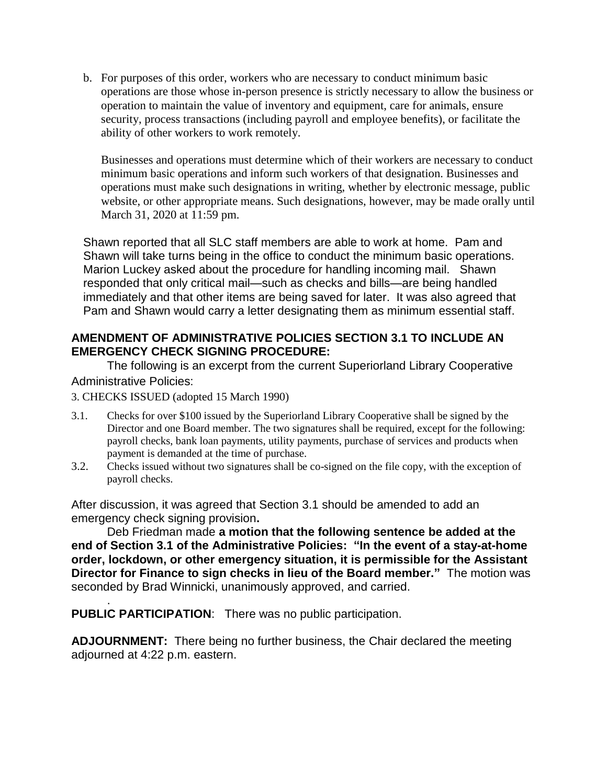b. For purposes of this order, workers who are necessary to conduct minimum basic operations are those whose in-person presence is strictly necessary to allow the business or operation to maintain the value of inventory and equipment, care for animals, ensure security, process transactions (including payroll and employee benefits), or facilitate the ability of other workers to work remotely.

Businesses and operations must determine which of their workers are necessary to conduct minimum basic operations and inform such workers of that designation. Businesses and operations must make such designations in writing, whether by electronic message, public website, or other appropriate means. Such designations, however, may be made orally until March 31, 2020 at 11:59 pm.

Shawn reported that all SLC staff members are able to work at home. Pam and Shawn will take turns being in the office to conduct the minimum basic operations. Marion Luckey asked about the procedure for handling incoming mail. Shawn responded that only critical mail—such as checks and bills—are being handled immediately and that other items are being saved for later. It was also agreed that Pam and Shawn would carry a letter designating them as minimum essential staff.

## **AMENDMENT OF ADMINISTRATIVE POLICIES SECTION 3.1 TO INCLUDE AN EMERGENCY CHECK SIGNING PROCEDURE:**

The following is an excerpt from the current Superiorland Library Cooperative Administrative Policies:

- 3. CHECKS ISSUED (adopted 15 March 1990)
- 3.1. Checks for over \$100 issued by the Superiorland Library Cooperative shall be signed by the Director and one Board member. The two signatures shall be required, except for the following: payroll checks, bank loan payments, utility payments, purchase of services and products when payment is demanded at the time of purchase.
- 3.2. Checks issued without two signatures shall be co-signed on the file copy, with the exception of payroll checks.

After discussion, it was agreed that Section 3.1 should be amended to add an emergency check signing provision**.** 

Deb Friedman made **a motion that the following sentence be added at the end of Section 3.1 of the Administrative Policies: "In the event of a stay-at-home order, lockdown, or other emergency situation, it is permissible for the Assistant Director for Finance to sign checks in lieu of the Board member."** The motion was seconded by Brad Winnicki, unanimously approved, and carried.

. **PUBLIC PARTICIPATION**: There was no public participation.

**ADJOURNMENT:** There being no further business, the Chair declared the meeting adjourned at 4:22 p.m. eastern.